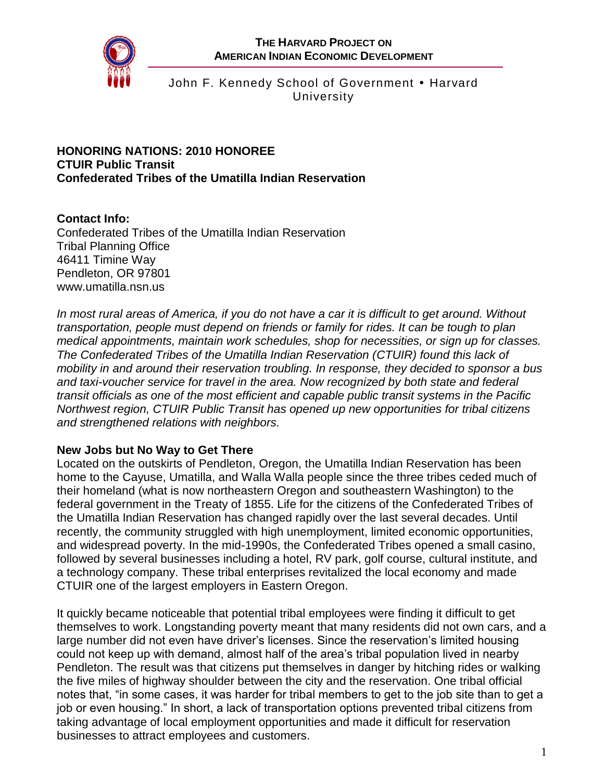

John F. Kennedy School of Government • Harvard University

### **HONORING NATIONS: 2010 HONOREE CTUIR Public Transit Confederated Tribes of the Umatilla Indian Reservation**

# **Contact Info:**

Confederated Tribes of the Umatilla Indian Reservation Tribal Planning Office 46411 Timine Way Pendleton, OR 97801 [www.umatilla.nsn.us](http://www.umatilla.nsn.us/)

*In most rural areas of America, if you do not have a car it is difficult to get around. Without transportation, people must depend on friends or family for rides. It can be tough to plan medical appointments, maintain work schedules, shop for necessities, or sign up for classes. The Confederated Tribes of the Umatilla Indian Reservation (CTUIR) found this lack of mobility in and around their reservation troubling. In response, they decided to sponsor a bus and taxi-voucher service for travel in the area. Now recognized by both state and federal transit officials as one of the most efficient and capable public transit systems in the Pacific Northwest region, CTUIR Public Transit has opened up new opportunities for tribal citizens and strengthened relations with neighbors.*

## **New Jobs but No Way to Get There**

Located on the outskirts of Pendleton, Oregon, the Umatilla Indian Reservation has been home to the Cayuse, Umatilla, and Walla Walla people since the three tribes ceded much of their homeland (what is now northeastern Oregon and southeastern Washington) to the federal government in the Treaty of 1855. Life for the citizens of the Confederated Tribes of the Umatilla Indian Reservation has changed rapidly over the last several decades. Until recently, the community struggled with high unemployment, limited economic opportunities, and widespread poverty. In the mid-1990s, the Confederated Tribes opened a small casino, followed by several businesses including a hotel, RV park, golf course, cultural institute, and a technology company. These tribal enterprises revitalized the local economy and made CTUIR one of the largest employers in Eastern Oregon.

It quickly became noticeable that potential tribal employees were finding it difficult to get themselves to work. Longstanding poverty meant that many residents did not own cars, and a large number did not even have driver's licenses. Since the reservation's limited housing could not keep up with demand, almost half of the area's tribal population lived in nearby Pendleton. The result was that citizens put themselves in danger by hitching rides or walking the five miles of highway shoulder between the city and the reservation. One tribal official notes that, "in some cases, it was harder for tribal members to get to the job site than to get a job or even housing." In short, a lack of transportation options prevented tribal citizens from taking advantage of local employment opportunities and made it difficult for reservation businesses to attract employees and customers.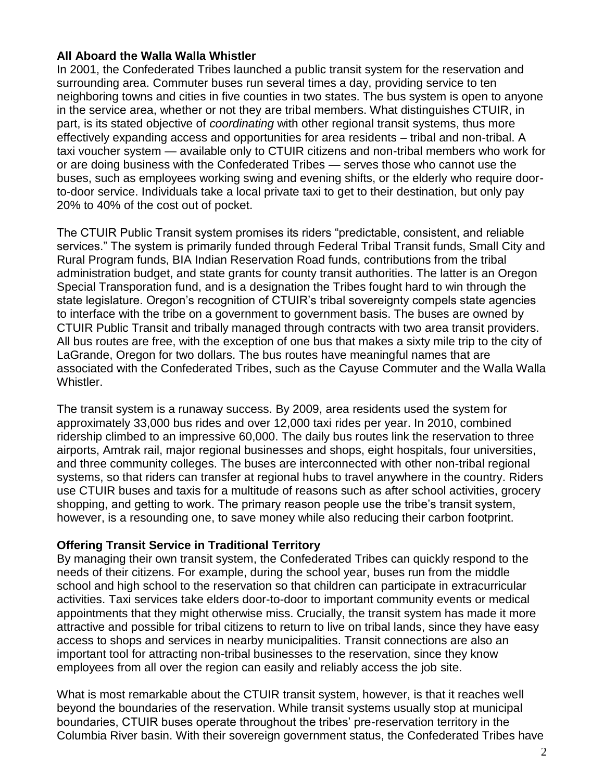### **All Aboard the Walla Walla Whistler**

In 2001, the Confederated Tribes launched a public transit system for the reservation and surrounding area. Commuter buses run several times a day, providing service to ten neighboring towns and cities in five counties in two states. The bus system is open to anyone in the service area, whether or not they are tribal members. What distinguishes CTUIR, in part, is its stated objective of *coordinating* with other regional transit systems, thus more effectively expanding access and opportunities for area residents – tribal and non-tribal. A taxi voucher system — available only to CTUIR citizens and non-tribal members who work for or are doing business with the Confederated Tribes — serves those who cannot use the buses, such as employees working swing and evening shifts, or the elderly who require doorto-door service. Individuals take a local private taxi to get to their destination, but only pay 20% to 40% of the cost out of pocket.

The CTUIR Public Transit system promises its riders "predictable, consistent, and reliable services." The system is primarily funded through Federal Tribal Transit funds, Small City and Rural Program funds, BIA Indian Reservation Road funds, contributions from the tribal administration budget, and state grants for county transit authorities. The latter is an Oregon Special Transporation fund, and is a designation the Tribes fought hard to win through the state legislature. Oregon's recognition of CTUIR's tribal sovereignty compels state agencies to interface with the tribe on a government to government basis. The buses are owned by CTUIR Public Transit and tribally managed through contracts with two area transit providers. All bus routes are free, with the exception of one bus that makes a sixty mile trip to the city of LaGrande, Oregon for two dollars. The bus routes have meaningful names that are associated with the Confederated Tribes, such as the Cayuse Commuter and the Walla Walla Whistler.

The transit system is a runaway success. By 2009, area residents used the system for approximately 33,000 bus rides and over 12,000 taxi rides per year. In 2010, combined ridership climbed to an impressive 60,000. The daily bus routes link the reservation to three airports, Amtrak rail, major regional businesses and shops, eight hospitals, four universities, and three community colleges. The buses are interconnected with other non-tribal regional systems, so that riders can transfer at regional hubs to travel anywhere in the country. Riders use CTUIR buses and taxis for a multitude of reasons such as after school activities, grocery shopping, and getting to work. The primary reason people use the tribe's transit system, however, is a resounding one, to save money while also reducing their carbon footprint.

### **Offering Transit Service in Traditional Territory**

By managing their own transit system, the Confederated Tribes can quickly respond to the needs of their citizens. For example, during the school year, buses run from the middle school and high school to the reservation so that children can participate in extracurricular activities. Taxi services take elders door-to-door to important community events or medical appointments that they might otherwise miss. Crucially, the transit system has made it more attractive and possible for tribal citizens to return to live on tribal lands, since they have easy access to shops and services in nearby municipalities. Transit connections are also an important tool for attracting non-tribal businesses to the reservation, since they know employees from all over the region can easily and reliably access the job site.

What is most remarkable about the CTUIR transit system, however, is that it reaches well beyond the boundaries of the reservation. While transit systems usually stop at municipal boundaries, CTUIR buses operate throughout the tribes' pre-reservation territory in the Columbia River basin. With their sovereign government status, the Confederated Tribes have